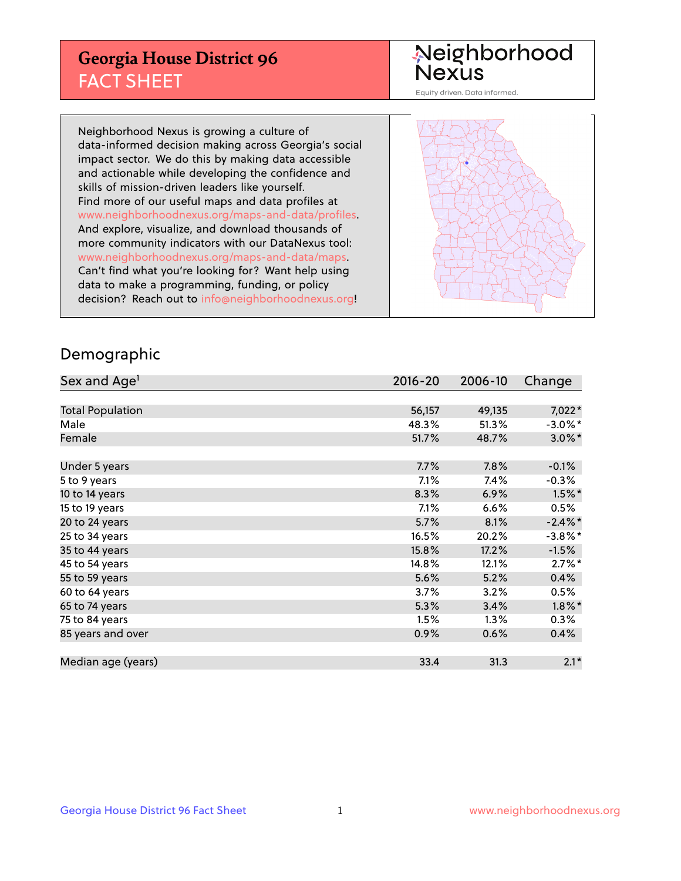## **Georgia House District 96** FACT SHEET

# Neighborhood<br>Nexus

Equity driven. Data informed.

Neighborhood Nexus is growing a culture of data-informed decision making across Georgia's social impact sector. We do this by making data accessible and actionable while developing the confidence and skills of mission-driven leaders like yourself. Find more of our useful maps and data profiles at www.neighborhoodnexus.org/maps-and-data/profiles. And explore, visualize, and download thousands of more community indicators with our DataNexus tool: www.neighborhoodnexus.org/maps-and-data/maps. Can't find what you're looking for? Want help using data to make a programming, funding, or policy decision? Reach out to [info@neighborhoodnexus.org!](mailto:info@neighborhoodnexus.org)



### Demographic

| Sex and Age <sup>1</sup> | $2016 - 20$ | 2006-10 | Change     |
|--------------------------|-------------|---------|------------|
|                          |             |         |            |
| <b>Total Population</b>  | 56,157      | 49,135  | 7,022*     |
| Male                     | 48.3%       | 51.3%   | $-3.0\%$ * |
| Female                   | 51.7%       | 48.7%   | $3.0\%$ *  |
|                          |             |         |            |
| Under 5 years            | 7.7%        | 7.8%    | $-0.1%$    |
| 5 to 9 years             | 7.1%        | 7.4%    | $-0.3%$    |
| 10 to 14 years           | 8.3%        | 6.9%    | $1.5\%$ *  |
| 15 to 19 years           | 7.1%        | 6.6%    | 0.5%       |
| 20 to 24 years           | 5.7%        | 8.1%    | $-2.4\%$ * |
| 25 to 34 years           | 16.5%       | 20.2%   | $-3.8\%$ * |
| 35 to 44 years           | 15.8%       | 17.2%   | $-1.5%$    |
| 45 to 54 years           | 14.8%       | 12.1%   | $2.7\%$ *  |
| 55 to 59 years           | 5.6%        | 5.2%    | 0.4%       |
| 60 to 64 years           | 3.7%        | 3.2%    | 0.5%       |
| 65 to 74 years           | 5.3%        | 3.4%    | $1.8\%$ *  |
| 75 to 84 years           | 1.5%        | 1.3%    | $0.3\%$    |
| 85 years and over        | 0.9%        | 0.6%    | 0.4%       |
|                          |             |         |            |
| Median age (years)       | 33.4        | 31.3    | $2.1*$     |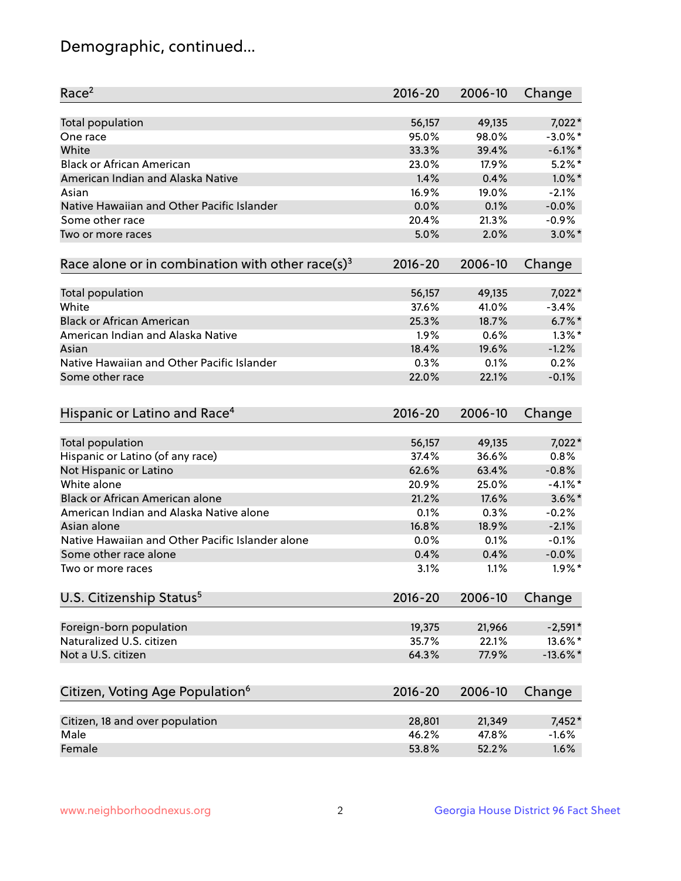## Demographic, continued...

| 7,022*<br><b>Total population</b><br>56,157<br>49,135<br>95.0%<br>98.0%<br>$-3.0\%$ *<br>One race<br>White<br>39.4%<br>$-6.1\%$ *<br>33.3%<br><b>Black or African American</b><br>$5.2\%$ *<br>23.0%<br>17.9%<br>American Indian and Alaska Native<br>1.4%<br>0.4%<br>$1.0\%$ *<br>16.9%<br>19.0%<br>$-2.1%$<br>Asian<br>Native Hawaiian and Other Pacific Islander<br>$-0.0%$<br>0.0%<br>0.1%<br>Some other race<br>$-0.9%$<br>20.4%<br>21.3%<br>$3.0\%$ *<br>5.0%<br>2.0%<br>Two or more races<br>Race alone or in combination with other race(s) <sup>3</sup><br>$2016 - 20$<br>2006-10<br>Change<br>56,157<br>Total population<br>49,135<br>$7,022*$<br>White<br>$-3.4%$<br>37.6%<br>41.0%<br><b>Black or African American</b><br>$6.7\%$ *<br>25.3%<br>18.7%<br>$1.3\%$ *<br>American Indian and Alaska Native<br>1.9%<br>0.6%<br>18.4%<br>19.6%<br>$-1.2%$<br>Asian<br>Native Hawaiian and Other Pacific Islander<br>0.2%<br>0.3%<br>0.1%<br>22.1%<br>$-0.1%$<br>Some other race<br>22.0%<br>Hispanic or Latino and Race <sup>4</sup><br>$2016 - 20$<br>2006-10<br>Change<br><b>Total population</b><br>56,157<br>7,022*<br>49,135<br>Hispanic or Latino (of any race)<br>0.8%<br>37.4%<br>36.6%<br>62.6%<br>$-0.8%$<br>Not Hispanic or Latino<br>63.4%<br>White alone<br>20.9%<br>25.0%<br>$-4.1%$ *<br>Black or African American alone<br>21.2%<br>$3.6\%$ *<br>17.6%<br>American Indian and Alaska Native alone<br>0.1%<br>0.3%<br>$-0.2%$<br>Asian alone<br>16.8%<br>18.9%<br>$-2.1%$<br>Native Hawaiian and Other Pacific Islander alone<br>0.0%<br>0.1%<br>$-0.1%$<br>$-0.0%$<br>Some other race alone<br>0.4%<br>0.4%<br>$1.9\%$ *<br>3.1%<br>1.1%<br>Two or more races<br>U.S. Citizenship Status <sup>5</sup><br>$2016 - 20$<br>2006-10<br>Change<br>Foreign-born population<br>21,966<br>$-2,591*$<br>19,375<br>Naturalized U.S. citizen<br>35.7%<br>22.1%<br>Not a U.S. citizen<br>64.3%<br>77.9%<br>$-13.6\%$ *<br>Citizen, Voting Age Population <sup>6</sup><br>2006-10<br>Change<br>2016-20<br>Citizen, 18 and over population<br>7,452*<br>28,801<br>21,349<br>Male<br>46.2%<br>47.8%<br>$-1.6%$<br>Female<br>53.8%<br>52.2%<br>1.6% | Race <sup>2</sup> | $2016 - 20$ | 2006-10 | Change |
|------------------------------------------------------------------------------------------------------------------------------------------------------------------------------------------------------------------------------------------------------------------------------------------------------------------------------------------------------------------------------------------------------------------------------------------------------------------------------------------------------------------------------------------------------------------------------------------------------------------------------------------------------------------------------------------------------------------------------------------------------------------------------------------------------------------------------------------------------------------------------------------------------------------------------------------------------------------------------------------------------------------------------------------------------------------------------------------------------------------------------------------------------------------------------------------------------------------------------------------------------------------------------------------------------------------------------------------------------------------------------------------------------------------------------------------------------------------------------------------------------------------------------------------------------------------------------------------------------------------------------------------------------------------------------------------------------------------------------------------------------------------------------------------------------------------------------------------------------------------------------------------------------------------------------------------------------------------------------------------------------------------------------------------------------------------------------------------------------------------------------------------------------------|-------------------|-------------|---------|--------|
| 13.6%*                                                                                                                                                                                                                                                                                                                                                                                                                                                                                                                                                                                                                                                                                                                                                                                                                                                                                                                                                                                                                                                                                                                                                                                                                                                                                                                                                                                                                                                                                                                                                                                                                                                                                                                                                                                                                                                                                                                                                                                                                                                                                                                                                     |                   |             |         |        |
|                                                                                                                                                                                                                                                                                                                                                                                                                                                                                                                                                                                                                                                                                                                                                                                                                                                                                                                                                                                                                                                                                                                                                                                                                                                                                                                                                                                                                                                                                                                                                                                                                                                                                                                                                                                                                                                                                                                                                                                                                                                                                                                                                            |                   |             |         |        |
|                                                                                                                                                                                                                                                                                                                                                                                                                                                                                                                                                                                                                                                                                                                                                                                                                                                                                                                                                                                                                                                                                                                                                                                                                                                                                                                                                                                                                                                                                                                                                                                                                                                                                                                                                                                                                                                                                                                                                                                                                                                                                                                                                            |                   |             |         |        |
|                                                                                                                                                                                                                                                                                                                                                                                                                                                                                                                                                                                                                                                                                                                                                                                                                                                                                                                                                                                                                                                                                                                                                                                                                                                                                                                                                                                                                                                                                                                                                                                                                                                                                                                                                                                                                                                                                                                                                                                                                                                                                                                                                            |                   |             |         |        |
|                                                                                                                                                                                                                                                                                                                                                                                                                                                                                                                                                                                                                                                                                                                                                                                                                                                                                                                                                                                                                                                                                                                                                                                                                                                                                                                                                                                                                                                                                                                                                                                                                                                                                                                                                                                                                                                                                                                                                                                                                                                                                                                                                            |                   |             |         |        |
|                                                                                                                                                                                                                                                                                                                                                                                                                                                                                                                                                                                                                                                                                                                                                                                                                                                                                                                                                                                                                                                                                                                                                                                                                                                                                                                                                                                                                                                                                                                                                                                                                                                                                                                                                                                                                                                                                                                                                                                                                                                                                                                                                            |                   |             |         |        |
|                                                                                                                                                                                                                                                                                                                                                                                                                                                                                                                                                                                                                                                                                                                                                                                                                                                                                                                                                                                                                                                                                                                                                                                                                                                                                                                                                                                                                                                                                                                                                                                                                                                                                                                                                                                                                                                                                                                                                                                                                                                                                                                                                            |                   |             |         |        |
|                                                                                                                                                                                                                                                                                                                                                                                                                                                                                                                                                                                                                                                                                                                                                                                                                                                                                                                                                                                                                                                                                                                                                                                                                                                                                                                                                                                                                                                                                                                                                                                                                                                                                                                                                                                                                                                                                                                                                                                                                                                                                                                                                            |                   |             |         |        |
|                                                                                                                                                                                                                                                                                                                                                                                                                                                                                                                                                                                                                                                                                                                                                                                                                                                                                                                                                                                                                                                                                                                                                                                                                                                                                                                                                                                                                                                                                                                                                                                                                                                                                                                                                                                                                                                                                                                                                                                                                                                                                                                                                            |                   |             |         |        |
|                                                                                                                                                                                                                                                                                                                                                                                                                                                                                                                                                                                                                                                                                                                                                                                                                                                                                                                                                                                                                                                                                                                                                                                                                                                                                                                                                                                                                                                                                                                                                                                                                                                                                                                                                                                                                                                                                                                                                                                                                                                                                                                                                            |                   |             |         |        |
|                                                                                                                                                                                                                                                                                                                                                                                                                                                                                                                                                                                                                                                                                                                                                                                                                                                                                                                                                                                                                                                                                                                                                                                                                                                                                                                                                                                                                                                                                                                                                                                                                                                                                                                                                                                                                                                                                                                                                                                                                                                                                                                                                            |                   |             |         |        |
|                                                                                                                                                                                                                                                                                                                                                                                                                                                                                                                                                                                                                                                                                                                                                                                                                                                                                                                                                                                                                                                                                                                                                                                                                                                                                                                                                                                                                                                                                                                                                                                                                                                                                                                                                                                                                                                                                                                                                                                                                                                                                                                                                            |                   |             |         |        |
|                                                                                                                                                                                                                                                                                                                                                                                                                                                                                                                                                                                                                                                                                                                                                                                                                                                                                                                                                                                                                                                                                                                                                                                                                                                                                                                                                                                                                                                                                                                                                                                                                                                                                                                                                                                                                                                                                                                                                                                                                                                                                                                                                            |                   |             |         |        |
|                                                                                                                                                                                                                                                                                                                                                                                                                                                                                                                                                                                                                                                                                                                                                                                                                                                                                                                                                                                                                                                                                                                                                                                                                                                                                                                                                                                                                                                                                                                                                                                                                                                                                                                                                                                                                                                                                                                                                                                                                                                                                                                                                            |                   |             |         |        |
|                                                                                                                                                                                                                                                                                                                                                                                                                                                                                                                                                                                                                                                                                                                                                                                                                                                                                                                                                                                                                                                                                                                                                                                                                                                                                                                                                                                                                                                                                                                                                                                                                                                                                                                                                                                                                                                                                                                                                                                                                                                                                                                                                            |                   |             |         |        |
|                                                                                                                                                                                                                                                                                                                                                                                                                                                                                                                                                                                                                                                                                                                                                                                                                                                                                                                                                                                                                                                                                                                                                                                                                                                                                                                                                                                                                                                                                                                                                                                                                                                                                                                                                                                                                                                                                                                                                                                                                                                                                                                                                            |                   |             |         |        |
|                                                                                                                                                                                                                                                                                                                                                                                                                                                                                                                                                                                                                                                                                                                                                                                                                                                                                                                                                                                                                                                                                                                                                                                                                                                                                                                                                                                                                                                                                                                                                                                                                                                                                                                                                                                                                                                                                                                                                                                                                                                                                                                                                            |                   |             |         |        |
|                                                                                                                                                                                                                                                                                                                                                                                                                                                                                                                                                                                                                                                                                                                                                                                                                                                                                                                                                                                                                                                                                                                                                                                                                                                                                                                                                                                                                                                                                                                                                                                                                                                                                                                                                                                                                                                                                                                                                                                                                                                                                                                                                            |                   |             |         |        |
|                                                                                                                                                                                                                                                                                                                                                                                                                                                                                                                                                                                                                                                                                                                                                                                                                                                                                                                                                                                                                                                                                                                                                                                                                                                                                                                                                                                                                                                                                                                                                                                                                                                                                                                                                                                                                                                                                                                                                                                                                                                                                                                                                            |                   |             |         |        |
|                                                                                                                                                                                                                                                                                                                                                                                                                                                                                                                                                                                                                                                                                                                                                                                                                                                                                                                                                                                                                                                                                                                                                                                                                                                                                                                                                                                                                                                                                                                                                                                                                                                                                                                                                                                                                                                                                                                                                                                                                                                                                                                                                            |                   |             |         |        |
|                                                                                                                                                                                                                                                                                                                                                                                                                                                                                                                                                                                                                                                                                                                                                                                                                                                                                                                                                                                                                                                                                                                                                                                                                                                                                                                                                                                                                                                                                                                                                                                                                                                                                                                                                                                                                                                                                                                                                                                                                                                                                                                                                            |                   |             |         |        |
|                                                                                                                                                                                                                                                                                                                                                                                                                                                                                                                                                                                                                                                                                                                                                                                                                                                                                                                                                                                                                                                                                                                                                                                                                                                                                                                                                                                                                                                                                                                                                                                                                                                                                                                                                                                                                                                                                                                                                                                                                                                                                                                                                            |                   |             |         |        |
|                                                                                                                                                                                                                                                                                                                                                                                                                                                                                                                                                                                                                                                                                                                                                                                                                                                                                                                                                                                                                                                                                                                                                                                                                                                                                                                                                                                                                                                                                                                                                                                                                                                                                                                                                                                                                                                                                                                                                                                                                                                                                                                                                            |                   |             |         |        |
|                                                                                                                                                                                                                                                                                                                                                                                                                                                                                                                                                                                                                                                                                                                                                                                                                                                                                                                                                                                                                                                                                                                                                                                                                                                                                                                                                                                                                                                                                                                                                                                                                                                                                                                                                                                                                                                                                                                                                                                                                                                                                                                                                            |                   |             |         |        |
|                                                                                                                                                                                                                                                                                                                                                                                                                                                                                                                                                                                                                                                                                                                                                                                                                                                                                                                                                                                                                                                                                                                                                                                                                                                                                                                                                                                                                                                                                                                                                                                                                                                                                                                                                                                                                                                                                                                                                                                                                                                                                                                                                            |                   |             |         |        |
|                                                                                                                                                                                                                                                                                                                                                                                                                                                                                                                                                                                                                                                                                                                                                                                                                                                                                                                                                                                                                                                                                                                                                                                                                                                                                                                                                                                                                                                                                                                                                                                                                                                                                                                                                                                                                                                                                                                                                                                                                                                                                                                                                            |                   |             |         |        |
|                                                                                                                                                                                                                                                                                                                                                                                                                                                                                                                                                                                                                                                                                                                                                                                                                                                                                                                                                                                                                                                                                                                                                                                                                                                                                                                                                                                                                                                                                                                                                                                                                                                                                                                                                                                                                                                                                                                                                                                                                                                                                                                                                            |                   |             |         |        |
|                                                                                                                                                                                                                                                                                                                                                                                                                                                                                                                                                                                                                                                                                                                                                                                                                                                                                                                                                                                                                                                                                                                                                                                                                                                                                                                                                                                                                                                                                                                                                                                                                                                                                                                                                                                                                                                                                                                                                                                                                                                                                                                                                            |                   |             |         |        |
|                                                                                                                                                                                                                                                                                                                                                                                                                                                                                                                                                                                                                                                                                                                                                                                                                                                                                                                                                                                                                                                                                                                                                                                                                                                                                                                                                                                                                                                                                                                                                                                                                                                                                                                                                                                                                                                                                                                                                                                                                                                                                                                                                            |                   |             |         |        |
|                                                                                                                                                                                                                                                                                                                                                                                                                                                                                                                                                                                                                                                                                                                                                                                                                                                                                                                                                                                                                                                                                                                                                                                                                                                                                                                                                                                                                                                                                                                                                                                                                                                                                                                                                                                                                                                                                                                                                                                                                                                                                                                                                            |                   |             |         |        |
|                                                                                                                                                                                                                                                                                                                                                                                                                                                                                                                                                                                                                                                                                                                                                                                                                                                                                                                                                                                                                                                                                                                                                                                                                                                                                                                                                                                                                                                                                                                                                                                                                                                                                                                                                                                                                                                                                                                                                                                                                                                                                                                                                            |                   |             |         |        |
|                                                                                                                                                                                                                                                                                                                                                                                                                                                                                                                                                                                                                                                                                                                                                                                                                                                                                                                                                                                                                                                                                                                                                                                                                                                                                                                                                                                                                                                                                                                                                                                                                                                                                                                                                                                                                                                                                                                                                                                                                                                                                                                                                            |                   |             |         |        |
|                                                                                                                                                                                                                                                                                                                                                                                                                                                                                                                                                                                                                                                                                                                                                                                                                                                                                                                                                                                                                                                                                                                                                                                                                                                                                                                                                                                                                                                                                                                                                                                                                                                                                                                                                                                                                                                                                                                                                                                                                                                                                                                                                            |                   |             |         |        |
|                                                                                                                                                                                                                                                                                                                                                                                                                                                                                                                                                                                                                                                                                                                                                                                                                                                                                                                                                                                                                                                                                                                                                                                                                                                                                                                                                                                                                                                                                                                                                                                                                                                                                                                                                                                                                                                                                                                                                                                                                                                                                                                                                            |                   |             |         |        |
|                                                                                                                                                                                                                                                                                                                                                                                                                                                                                                                                                                                                                                                                                                                                                                                                                                                                                                                                                                                                                                                                                                                                                                                                                                                                                                                                                                                                                                                                                                                                                                                                                                                                                                                                                                                                                                                                                                                                                                                                                                                                                                                                                            |                   |             |         |        |
|                                                                                                                                                                                                                                                                                                                                                                                                                                                                                                                                                                                                                                                                                                                                                                                                                                                                                                                                                                                                                                                                                                                                                                                                                                                                                                                                                                                                                                                                                                                                                                                                                                                                                                                                                                                                                                                                                                                                                                                                                                                                                                                                                            |                   |             |         |        |
|                                                                                                                                                                                                                                                                                                                                                                                                                                                                                                                                                                                                                                                                                                                                                                                                                                                                                                                                                                                                                                                                                                                                                                                                                                                                                                                                                                                                                                                                                                                                                                                                                                                                                                                                                                                                                                                                                                                                                                                                                                                                                                                                                            |                   |             |         |        |
|                                                                                                                                                                                                                                                                                                                                                                                                                                                                                                                                                                                                                                                                                                                                                                                                                                                                                                                                                                                                                                                                                                                                                                                                                                                                                                                                                                                                                                                                                                                                                                                                                                                                                                                                                                                                                                                                                                                                                                                                                                                                                                                                                            |                   |             |         |        |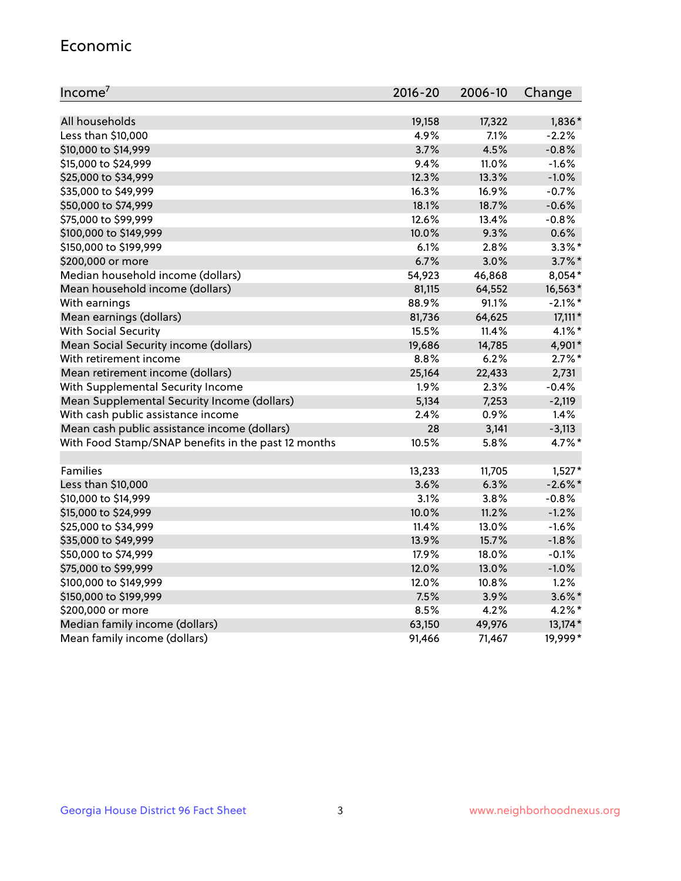#### Economic

| Income <sup>7</sup>                                 | $2016 - 20$ | 2006-10 | Change     |
|-----------------------------------------------------|-------------|---------|------------|
|                                                     |             |         |            |
| All households                                      | 19,158      | 17,322  | 1,836*     |
| Less than \$10,000                                  | 4.9%        | 7.1%    | $-2.2%$    |
| \$10,000 to \$14,999                                | 3.7%        | 4.5%    | $-0.8%$    |
| \$15,000 to \$24,999                                | 9.4%        | 11.0%   | $-1.6%$    |
| \$25,000 to \$34,999                                | 12.3%       | 13.3%   | $-1.0%$    |
| \$35,000 to \$49,999                                | 16.3%       | 16.9%   | $-0.7%$    |
| \$50,000 to \$74,999                                | 18.1%       | 18.7%   | $-0.6%$    |
| \$75,000 to \$99,999                                | 12.6%       | 13.4%   | $-0.8%$    |
| \$100,000 to \$149,999                              | 10.0%       | 9.3%    | 0.6%       |
| \$150,000 to \$199,999                              | 6.1%        | 2.8%    | $3.3\%$ *  |
| \$200,000 or more                                   | 6.7%        | 3.0%    | $3.7\%$ *  |
| Median household income (dollars)                   | 54,923      | 46,868  | 8,054*     |
| Mean household income (dollars)                     | 81,115      | 64,552  | 16,563*    |
| With earnings                                       | 88.9%       | 91.1%   | $-2.1\%$ * |
| Mean earnings (dollars)                             | 81,736      | 64,625  | $17,111*$  |
| <b>With Social Security</b>                         | 15.5%       | 11.4%   | $4.1\%$ *  |
| Mean Social Security income (dollars)               | 19,686      | 14,785  | 4,901*     |
| With retirement income                              | 8.8%        | 6.2%    | $2.7\%$ *  |
| Mean retirement income (dollars)                    | 25,164      | 22,433  | 2,731      |
| With Supplemental Security Income                   | 1.9%        | 2.3%    | $-0.4%$    |
| Mean Supplemental Security Income (dollars)         | 5,134       | 7,253   | $-2,119$   |
| With cash public assistance income                  | 2.4%        | 0.9%    | 1.4%       |
| Mean cash public assistance income (dollars)        | 28          | 3,141   | $-3,113$   |
| With Food Stamp/SNAP benefits in the past 12 months | 10.5%       | 5.8%    | 4.7%*      |
|                                                     |             |         |            |
| Families                                            | 13,233      | 11,705  | $1,527*$   |
| Less than \$10,000                                  | 3.6%        | 6.3%    | $-2.6\%$ * |
| \$10,000 to \$14,999                                | 3.1%        | 3.8%    | $-0.8%$    |
| \$15,000 to \$24,999                                | 10.0%       | 11.2%   | $-1.2%$    |
| \$25,000 to \$34,999                                | 11.4%       | 13.0%   | $-1.6%$    |
| \$35,000 to \$49,999                                | 13.9%       | 15.7%   | $-1.8%$    |
| \$50,000 to \$74,999                                | 17.9%       | 18.0%   | $-0.1%$    |
| \$75,000 to \$99,999                                | 12.0%       | 13.0%   | $-1.0%$    |
| \$100,000 to \$149,999                              | 12.0%       | 10.8%   | 1.2%       |
| \$150,000 to \$199,999                              | 7.5%        | 3.9%    | $3.6\%$ *  |
| \$200,000 or more                                   | 8.5%        | 4.2%    | $4.2\%$ *  |
| Median family income (dollars)                      | 63,150      | 49,976  | 13,174*    |
| Mean family income (dollars)                        | 91,466      | 71,467  | 19,999*    |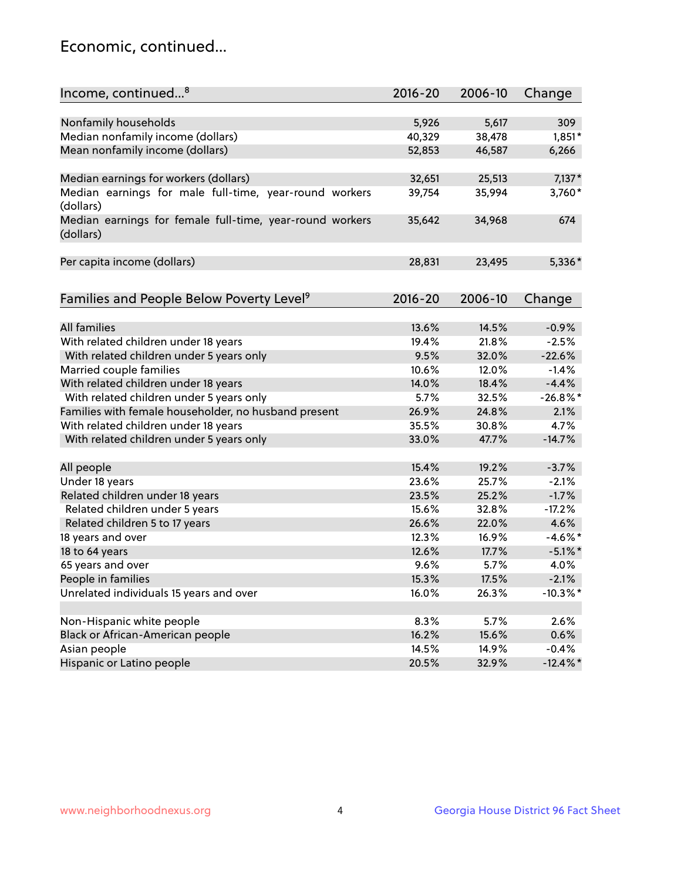## Economic, continued...

| Income, continued <sup>8</sup>                                        | $2016 - 20$ | 2006-10 | Change      |
|-----------------------------------------------------------------------|-------------|---------|-------------|
|                                                                       |             |         |             |
| Nonfamily households                                                  | 5,926       | 5,617   | 309         |
| Median nonfamily income (dollars)                                     | 40,329      | 38,478  | $1,851*$    |
| Mean nonfamily income (dollars)                                       | 52,853      | 46,587  | 6,266       |
| Median earnings for workers (dollars)                                 | 32,651      | 25,513  | $7,137*$    |
| Median earnings for male full-time, year-round workers                | 39,754      | 35,994  | 3,760*      |
| (dollars)                                                             |             |         |             |
| Median earnings for female full-time, year-round workers<br>(dollars) | 35,642      | 34,968  | 674         |
| Per capita income (dollars)                                           | 28,831      | 23,495  | 5,336*      |
|                                                                       |             |         |             |
| Families and People Below Poverty Level <sup>9</sup>                  | 2016-20     | 2006-10 | Change      |
|                                                                       |             |         |             |
| <b>All families</b>                                                   | 13.6%       | 14.5%   | $-0.9%$     |
| With related children under 18 years                                  | 19.4%       | 21.8%   | $-2.5%$     |
| With related children under 5 years only                              | 9.5%        | 32.0%   | $-22.6%$    |
| Married couple families                                               | 10.6%       | 12.0%   | $-1.4%$     |
| With related children under 18 years                                  | 14.0%       | 18.4%   | $-4.4%$     |
| With related children under 5 years only                              | 5.7%        | 32.5%   | $-26.8%$    |
| Families with female householder, no husband present                  | 26.9%       | 24.8%   | 2.1%        |
| With related children under 18 years                                  | 35.5%       | 30.8%   | 4.7%        |
| With related children under 5 years only                              | 33.0%       | 47.7%   | $-14.7%$    |
|                                                                       | 15.4%       | 19.2%   | $-3.7%$     |
| All people                                                            |             |         | $-2.1%$     |
| Under 18 years                                                        | 23.6%       | 25.7%   |             |
| Related children under 18 years                                       | 23.5%       | 25.2%   | $-1.7%$     |
| Related children under 5 years                                        | 15.6%       | 32.8%   | $-17.2%$    |
| Related children 5 to 17 years                                        | 26.6%       | 22.0%   | 4.6%        |
| 18 years and over                                                     | 12.3%       | 16.9%   | $-4.6\%$ *  |
| 18 to 64 years                                                        | 12.6%       | 17.7%   | $-5.1\%$ *  |
| 65 years and over                                                     | 9.6%        | 5.7%    | 4.0%        |
| People in families                                                    | 15.3%       | 17.5%   | $-2.1%$     |
| Unrelated individuals 15 years and over                               | 16.0%       | 26.3%   | $-10.3\%$ * |
|                                                                       | 8.3%        | 5.7%    | 2.6%        |
| Non-Hispanic white people                                             |             |         |             |
| Black or African-American people                                      | 16.2%       | 15.6%   | 0.6%        |
| Asian people                                                          | 14.5%       | 14.9%   | $-0.4%$     |
| Hispanic or Latino people                                             | 20.5%       | 32.9%   | $-12.4\%$ * |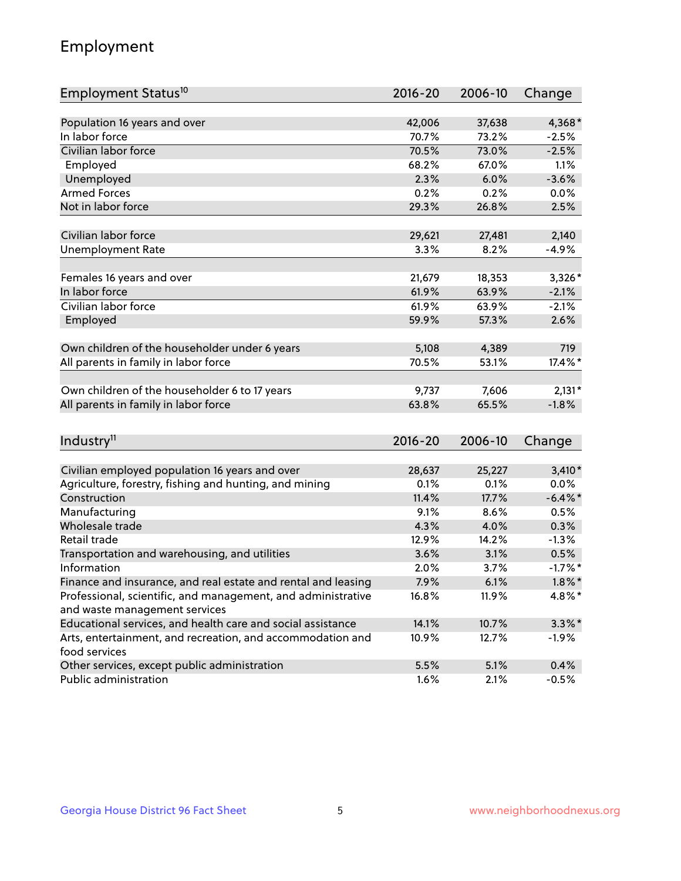## Employment

| Employment Status <sup>10</sup>                                                               | $2016 - 20$    | 2006-10 | Change     |
|-----------------------------------------------------------------------------------------------|----------------|---------|------------|
|                                                                                               |                |         |            |
| Population 16 years and over                                                                  | 42,006         | 37,638  | 4,368*     |
| In labor force                                                                                | 70.7%          | 73.2%   | $-2.5%$    |
| Civilian labor force                                                                          | 70.5%          | 73.0%   | $-2.5%$    |
| Employed                                                                                      | 68.2%          | 67.0%   | 1.1%       |
| Unemployed                                                                                    | 2.3%           | 6.0%    | $-3.6%$    |
| <b>Armed Forces</b>                                                                           | 0.2%           | 0.2%    | 0.0%       |
| Not in labor force                                                                            | 29.3%          | 26.8%   | 2.5%       |
|                                                                                               |                |         |            |
| Civilian labor force                                                                          | 29,621         | 27,481  | 2,140      |
| <b>Unemployment Rate</b>                                                                      | 3.3%           | 8.2%    | $-4.9%$    |
| Females 16 years and over                                                                     | 21,679         | 18,353  | $3,326*$   |
| In labor force                                                                                | 61.9%          | 63.9%   | $-2.1%$    |
| Civilian labor force                                                                          | 61.9%          | 63.9%   | $-2.1%$    |
| Employed                                                                                      | 59.9%          | 57.3%   | 2.6%       |
|                                                                                               |                |         |            |
| Own children of the householder under 6 years                                                 | 5,108          | 4,389   | 719        |
| All parents in family in labor force                                                          | 70.5%          | 53.1%   | 17.4%*     |
|                                                                                               |                |         |            |
| Own children of the householder 6 to 17 years                                                 | 9,737          | 7,606   | $2,131*$   |
| All parents in family in labor force                                                          | 63.8%          | 65.5%   | $-1.8%$    |
|                                                                                               |                |         |            |
| Industry <sup>11</sup>                                                                        | $2016 - 20$    | 2006-10 | Change     |
|                                                                                               |                |         |            |
| Civilian employed population 16 years and over                                                | 28,637         | 25,227  | $3,410*$   |
| Agriculture, forestry, fishing and hunting, and mining                                        | 0.1%           | 0.1%    | 0.0%       |
| Construction                                                                                  | 11.4%          | 17.7%   | $-6.4\%$ * |
| Manufacturing                                                                                 | 9.1%           | 8.6%    | 0.5%       |
| Wholesale trade                                                                               | 4.3%           | 4.0%    | 0.3%       |
| Retail trade                                                                                  | 12.9%          | 14.2%   | $-1.3%$    |
| Transportation and warehousing, and utilities                                                 | 3.6%           | 3.1%    | 0.5%       |
| Information                                                                                   | 2.0%           | 3.7%    | $-1.7%$ *  |
| Finance and insurance, and real estate and rental and leasing                                 | 7.9%           | 6.1%    | $1.8\%$ *  |
| Professional, scientific, and management, and administrative<br>and waste management services | 16.8%          | 11.9%   | 4.8%*      |
| Educational services, and health care and social assistance                                   |                |         |            |
| Arts, entertainment, and recreation, and accommodation and                                    | 14.1%<br>10.9% | 10.7%   | $3.3\%$ *  |
| food services                                                                                 |                | 12.7%   | $-1.9\%$   |
| Other services, except public administration                                                  | 5.5%           | 5.1%    | 0.4%       |
| Public administration                                                                         | 1.6%           | 2.1%    | $-0.5%$    |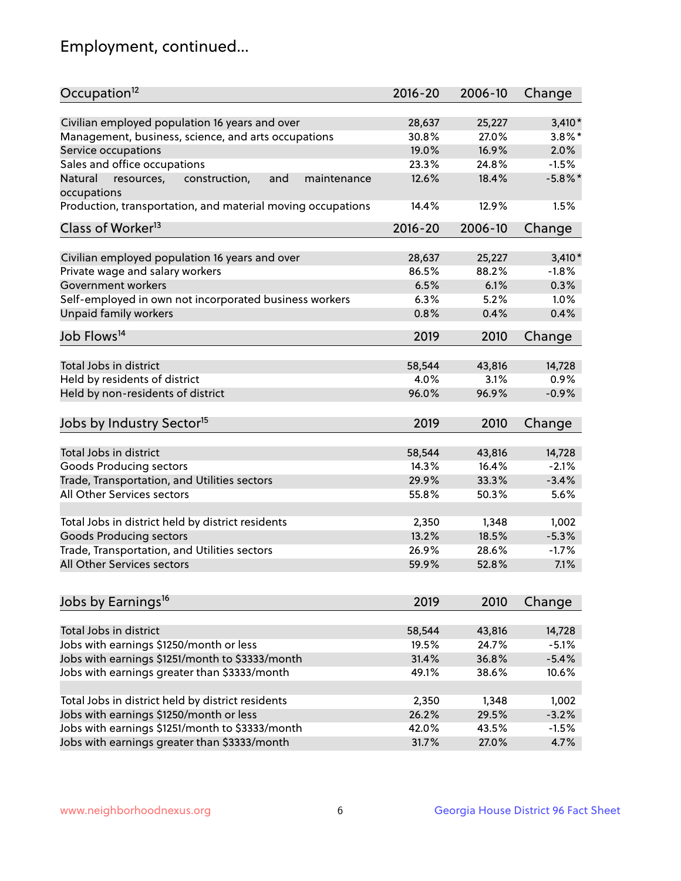## Employment, continued...

| Occupation <sup>12</sup>                                                    | $2016 - 20$ | 2006-10 | Change     |
|-----------------------------------------------------------------------------|-------------|---------|------------|
| Civilian employed population 16 years and over                              | 28,637      | 25,227  | $3,410*$   |
| Management, business, science, and arts occupations                         | 30.8%       | 27.0%   | $3.8\%$ *  |
| Service occupations                                                         | 19.0%       | 16.9%   | 2.0%       |
| Sales and office occupations                                                | 23.3%       | 24.8%   | $-1.5%$    |
|                                                                             |             |         | $-5.8\%$ * |
| Natural<br>and<br>resources,<br>construction,<br>maintenance<br>occupations | 12.6%       | 18.4%   |            |
| Production, transportation, and material moving occupations                 | 14.4%       | 12.9%   | 1.5%       |
| Class of Worker <sup>13</sup>                                               | $2016 - 20$ | 2006-10 | Change     |
|                                                                             |             |         |            |
| Civilian employed population 16 years and over                              | 28,637      | 25,227  | $3,410*$   |
| Private wage and salary workers                                             | 86.5%       | 88.2%   | $-1.8%$    |
| Government workers                                                          | 6.5%        | 6.1%    | 0.3%       |
| Self-employed in own not incorporated business workers                      | 6.3%        | 5.2%    | 1.0%       |
| Unpaid family workers                                                       | 0.8%        | 0.4%    | 0.4%       |
| Job Flows <sup>14</sup>                                                     | 2019        | 2010    | Change     |
|                                                                             |             |         |            |
| Total Jobs in district                                                      | 58,544      | 43,816  | 14,728     |
| Held by residents of district                                               | 4.0%        | 3.1%    | 0.9%       |
| Held by non-residents of district                                           | 96.0%       | 96.9%   | $-0.9%$    |
| Jobs by Industry Sector <sup>15</sup>                                       | 2019        | 2010    | Change     |
|                                                                             |             |         |            |
| Total Jobs in district                                                      | 58,544      | 43,816  | 14,728     |
| Goods Producing sectors                                                     | 14.3%       | 16.4%   | $-2.1%$    |
| Trade, Transportation, and Utilities sectors                                | 29.9%       | 33.3%   | $-3.4%$    |
| All Other Services sectors                                                  | 55.8%       | 50.3%   | 5.6%       |
| Total Jobs in district held by district residents                           | 2,350       | 1,348   | 1,002      |
| <b>Goods Producing sectors</b>                                              | 13.2%       | 18.5%   | $-5.3%$    |
| Trade, Transportation, and Utilities sectors                                | 26.9%       | 28.6%   | $-1.7%$    |
| All Other Services sectors                                                  | 59.9%       | 52.8%   | 7.1%       |
|                                                                             |             |         |            |
| Jobs by Earnings <sup>16</sup>                                              | 2019        | 2010    | Change     |
|                                                                             |             |         |            |
| Total Jobs in district                                                      | 58,544      | 43,816  | 14,728     |
| Jobs with earnings \$1250/month or less                                     | 19.5%       | 24.7%   | $-5.1%$    |
| Jobs with earnings \$1251/month to \$3333/month                             | 31.4%       | 36.8%   | $-5.4%$    |
| Jobs with earnings greater than \$3333/month                                | 49.1%       | 38.6%   | 10.6%      |
| Total Jobs in district held by district residents                           | 2,350       | 1,348   | 1,002      |
| Jobs with earnings \$1250/month or less                                     | 26.2%       | 29.5%   | $-3.2%$    |
| Jobs with earnings \$1251/month to \$3333/month                             | 42.0%       | 43.5%   | $-1.5%$    |
| Jobs with earnings greater than \$3333/month                                | 31.7%       | 27.0%   | 4.7%       |
|                                                                             |             |         |            |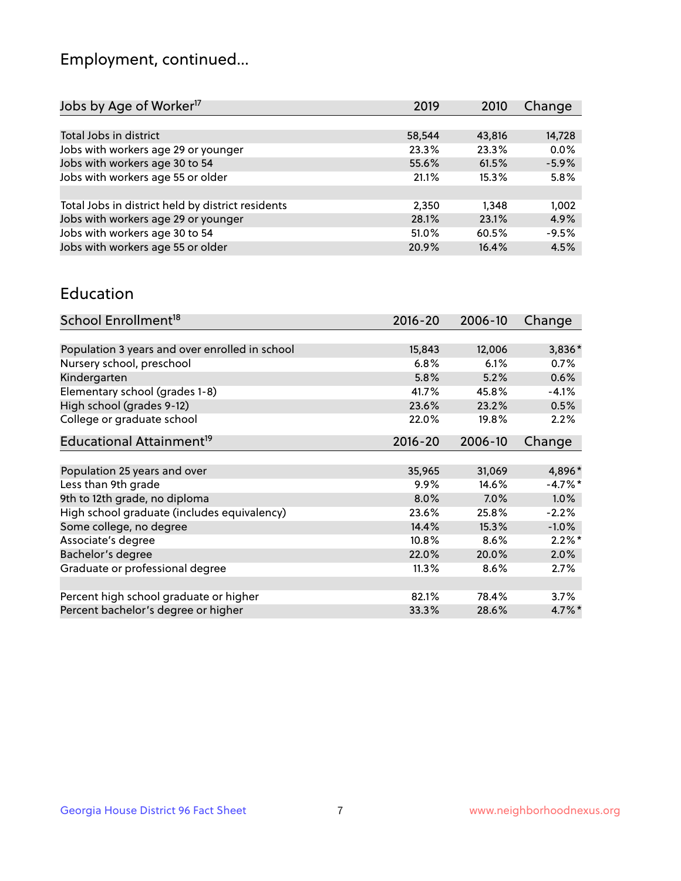## Employment, continued...

| 2019   | 2010   | Change  |
|--------|--------|---------|
|        |        |         |
| 58,544 | 43,816 | 14,728  |
| 23.3%  | 23.3%  | 0.0%    |
| 55.6%  | 61.5%  | $-5.9%$ |
| 21.1%  | 15.3%  | 5.8%    |
|        |        |         |
| 2,350  | 1.348  | 1,002   |
| 28.1%  | 23.1%  | 4.9%    |
| 51.0%  | 60.5%  | $-9.5%$ |
| 20.9%  | 16.4%  | 4.5%    |
|        |        |         |

#### Education

| School Enrollment <sup>18</sup>                | $2016 - 20$ | 2006-10 | Change    |
|------------------------------------------------|-------------|---------|-----------|
|                                                |             |         |           |
| Population 3 years and over enrolled in school | 15,843      | 12,006  | 3,836*    |
| Nursery school, preschool                      | 6.8%        | 6.1%    | 0.7%      |
| Kindergarten                                   | 5.8%        | 5.2%    | 0.6%      |
| Elementary school (grades 1-8)                 | 41.7%       | 45.8%   | $-4.1%$   |
| High school (grades 9-12)                      | 23.6%       | 23.2%   | 0.5%      |
| College or graduate school                     | 22.0%       | 19.8%   | 2.2%      |
| Educational Attainment <sup>19</sup>           | $2016 - 20$ | 2006-10 | Change    |
|                                                |             |         |           |
| Population 25 years and over                   | 35,965      | 31,069  | 4,896*    |
| Less than 9th grade                            | 9.9%        | 14.6%   | $-4.7%$ * |
| 9th to 12th grade, no diploma                  | 8.0%        | 7.0%    | 1.0%      |
| High school graduate (includes equivalency)    | 23.6%       | 25.8%   | $-2.2%$   |
| Some college, no degree                        | 14.4%       | 15.3%   | $-1.0%$   |
| Associate's degree                             | 10.8%       | 8.6%    | $2.2\%$ * |
| Bachelor's degree                              | 22.0%       | 20.0%   | 2.0%      |
| Graduate or professional degree                | 11.3%       | 8.6%    | 2.7%      |
|                                                |             |         |           |
| Percent high school graduate or higher         | 82.1%       | 78.4%   | 3.7%      |
| Percent bachelor's degree or higher            | 33.3%       | 28.6%   | $4.7\%$ * |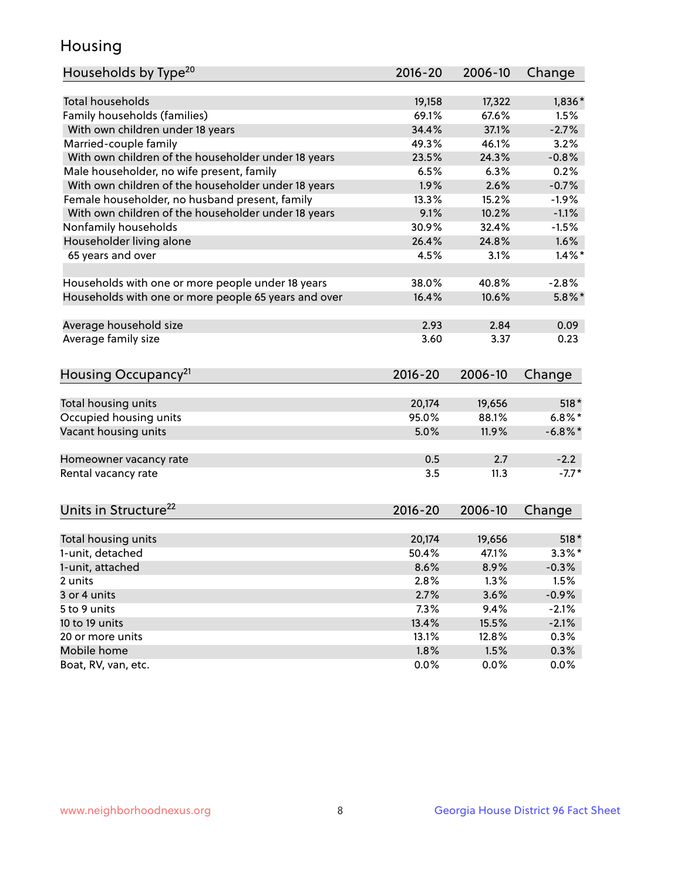## Housing

| Households by Type <sup>20</sup>                     | 2016-20     | 2006-10 | Change     |
|------------------------------------------------------|-------------|---------|------------|
|                                                      |             |         |            |
| <b>Total households</b>                              | 19,158      | 17,322  | $1,836*$   |
| Family households (families)                         | 69.1%       | 67.6%   | 1.5%       |
| With own children under 18 years                     | 34.4%       | 37.1%   | $-2.7%$    |
| Married-couple family                                | 49.3%       | 46.1%   | 3.2%       |
| With own children of the householder under 18 years  | 23.5%       | 24.3%   | $-0.8%$    |
| Male householder, no wife present, family            | 6.5%        | 6.3%    | 0.2%       |
| With own children of the householder under 18 years  | 1.9%        | 2.6%    | $-0.7%$    |
| Female householder, no husband present, family       | 13.3%       | 15.2%   | $-1.9%$    |
| With own children of the householder under 18 years  | 9.1%        | 10.2%   | $-1.1%$    |
| Nonfamily households                                 | 30.9%       | 32.4%   | $-1.5%$    |
| Householder living alone                             | 26.4%       | 24.8%   | 1.6%       |
| 65 years and over                                    | 4.5%        | 3.1%    | $1.4\%$ *  |
|                                                      |             |         |            |
| Households with one or more people under 18 years    | 38.0%       | 40.8%   | $-2.8%$    |
| Households with one or more people 65 years and over | 16.4%       | 10.6%   | $5.8\%$ *  |
|                                                      |             |         |            |
| Average household size                               | 2.93        | 2.84    | 0.09       |
| Average family size                                  | 3.60        | 3.37    | 0.23       |
| Housing Occupancy <sup>21</sup>                      | $2016 - 20$ | 2006-10 | Change     |
|                                                      |             |         |            |
| Total housing units                                  | 20,174      | 19,656  | $518*$     |
| Occupied housing units                               | 95.0%       | 88.1%   | $6.8\%$ *  |
| Vacant housing units                                 | 5.0%        | 11.9%   | $-6.8\%$ * |
|                                                      |             |         |            |
| Homeowner vacancy rate                               | 0.5         | 2.7     | $-2.2$     |
| Rental vacancy rate                                  | 3.5         | 11.3    | $-7.7*$    |
|                                                      |             |         |            |
| Units in Structure <sup>22</sup>                     | 2016-20     | 2006-10 | Change     |
|                                                      |             |         |            |
| Total housing units                                  | 20,174      | 19,656  | $518*$     |
| 1-unit, detached                                     | 50.4%       | 47.1%   | $3.3\%$ *  |
| 1-unit, attached                                     | 8.6%        | 8.9%    | $-0.3%$    |
| 2 units                                              | 2.8%        | 1.3%    | 1.5%       |
| 3 or 4 units                                         | 2.7%        | 3.6%    | $-0.9%$    |
| 5 to 9 units                                         | 7.3%        | 9.4%    | $-2.1%$    |
| 10 to 19 units                                       | 13.4%       | 15.5%   | $-2.1%$    |
| 20 or more units                                     | 13.1%       | 12.8%   | 0.3%       |
| Mobile home                                          | 1.8%        | 1.5%    | 0.3%       |
| Boat, RV, van, etc.                                  | 0.0%        | 0.0%    | 0.0%       |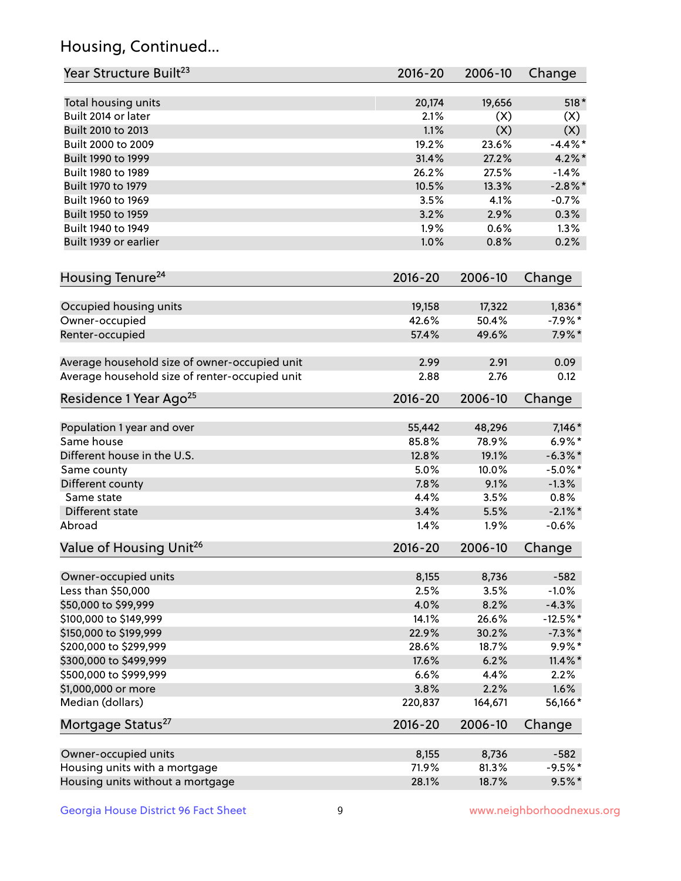## Housing, Continued...

| Year Structure Built <sup>23</sup>             | 2016-20     | 2006-10 | Change     |
|------------------------------------------------|-------------|---------|------------|
| Total housing units                            | 20,174      | 19,656  | $518*$     |
| Built 2014 or later                            | 2.1%        | (X)     | (X)        |
| Built 2010 to 2013                             | 1.1%        | (X)     | (X)        |
| Built 2000 to 2009                             | 19.2%       | 23.6%   | $-4.4\%$ * |
| Built 1990 to 1999                             | 31.4%       | 27.2%   | $4.2\%$ *  |
| Built 1980 to 1989                             | 26.2%       | 27.5%   | $-1.4%$    |
| Built 1970 to 1979                             | 10.5%       | 13.3%   | $-2.8\%$ * |
| Built 1960 to 1969                             | 3.5%        | 4.1%    | $-0.7%$    |
| Built 1950 to 1959                             | 3.2%        | 2.9%    | 0.3%       |
| Built 1940 to 1949                             | 1.9%        | 0.6%    | 1.3%       |
| Built 1939 or earlier                          | 1.0%        | 0.8%    | 0.2%       |
| Housing Tenure <sup>24</sup>                   | $2016 - 20$ | 2006-10 | Change     |
| Occupied housing units                         | 19,158      | 17,322  | 1,836*     |
| Owner-occupied                                 | 42.6%       | 50.4%   | $-7.9%$ *  |
| Renter-occupied                                | 57.4%       | 49.6%   | $7.9\%*$   |
| Average household size of owner-occupied unit  | 2.99        | 2.91    | 0.09       |
| Average household size of renter-occupied unit | 2.88        | 2.76    | 0.12       |
| Residence 1 Year Ago <sup>25</sup>             | $2016 - 20$ | 2006-10 | Change     |
| Population 1 year and over                     | 55,442      | 48,296  | $7,146*$   |
| Same house                                     | 85.8%       | 78.9%   | $6.9\%*$   |
| Different house in the U.S.                    | 12.8%       | 19.1%   | $-6.3\%$ * |
| Same county                                    | 5.0%        | 10.0%   | $-5.0\%$ * |
| Different county                               | 7.8%        | 9.1%    | $-1.3%$    |
| Same state                                     | 4.4%        | 3.5%    | 0.8%       |
| Different state                                | 3.4%        | 5.5%    | $-2.1\%$ * |
| Abroad                                         | 1.4%        | 1.9%    | $-0.6%$    |
| Value of Housing Unit <sup>26</sup>            | 2016-20     | 2006-10 | Change     |
| Owner-occupied units                           | 8,155       | 8,736   | $-582$     |
| Less than \$50,000                             | 2.5%        | 3.5%    | $-1.0%$    |
| \$50,000 to \$99,999                           | 4.0%        | 8.2%    | $-4.3%$    |
| \$100,000 to \$149,999                         | 14.1%       | 26.6%   | $-12.5%$ * |
| \$150,000 to \$199,999                         | 22.9%       | 30.2%   | $-7.3\%$ * |
| \$200,000 to \$299,999                         | 28.6%       | 18.7%   | $9.9\%*$   |
| \$300,000 to \$499,999                         | 17.6%       | 6.2%    | $11.4\%$ * |
| \$500,000 to \$999,999                         | 6.6%        | 4.4%    | 2.2%       |
| \$1,000,000 or more                            | 3.8%        | 2.2%    | 1.6%       |
| Median (dollars)                               | 220,837     | 164,671 | 56,166*    |
| Mortgage Status <sup>27</sup>                  | $2016 - 20$ | 2006-10 | Change     |
| Owner-occupied units                           | 8,155       | 8,736   | $-582$     |
| Housing units with a mortgage                  | 71.9%       | 81.3%   | $-9.5%$ *  |
| Housing units without a mortgage               | 28.1%       | 18.7%   | $9.5%$ *   |
|                                                |             |         |            |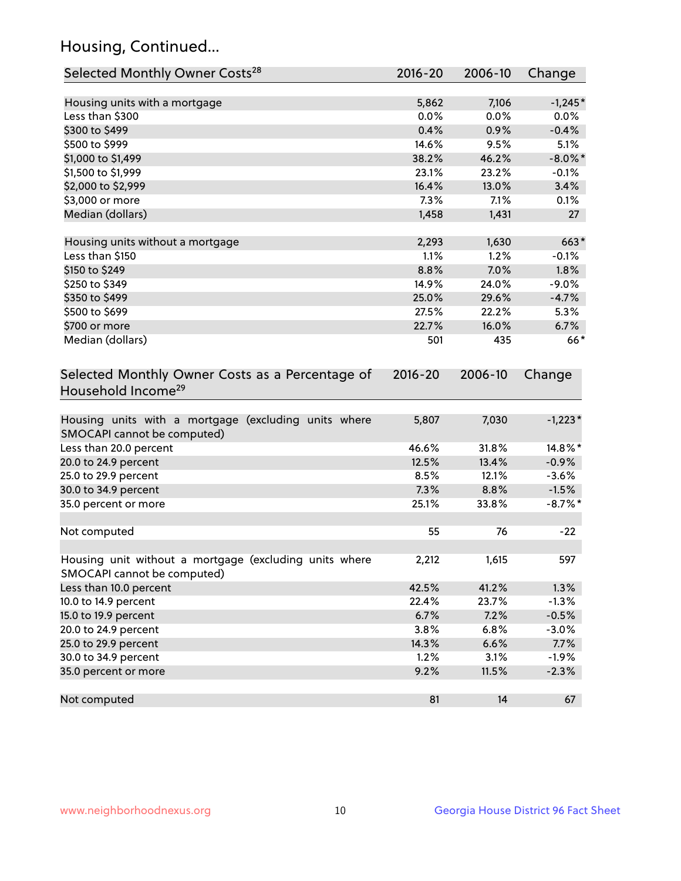## Housing, Continued...

| Selected Monthly Owner Costs <sup>28</sup>                                            | 2016-20 | 2006-10 | Change     |
|---------------------------------------------------------------------------------------|---------|---------|------------|
| Housing units with a mortgage                                                         | 5,862   | 7,106   | $-1,245*$  |
| Less than \$300                                                                       | 0.0%    | 0.0%    | 0.0%       |
| \$300 to \$499                                                                        | 0.4%    | 0.9%    | $-0.4%$    |
| \$500 to \$999                                                                        | 14.6%   | 9.5%    | 5.1%       |
| \$1,000 to \$1,499                                                                    | 38.2%   | 46.2%   | $-8.0\%$ * |
| \$1,500 to \$1,999                                                                    | 23.1%   | 23.2%   | $-0.1%$    |
| \$2,000 to \$2,999                                                                    | 16.4%   | 13.0%   | 3.4%       |
| \$3,000 or more                                                                       | 7.3%    | 7.1%    | 0.1%       |
| Median (dollars)                                                                      | 1,458   | 1,431   | 27         |
| Housing units without a mortgage                                                      | 2,293   | 1,630   | $663*$     |
| Less than \$150                                                                       | 1.1%    | 1.2%    | $-0.1%$    |
| \$150 to \$249                                                                        | 8.8%    | 7.0%    | 1.8%       |
| \$250 to \$349                                                                        | 14.9%   | 24.0%   | $-9.0%$    |
| \$350 to \$499                                                                        | 25.0%   | 29.6%   | $-4.7%$    |
| \$500 to \$699                                                                        | 27.5%   | 22.2%   | 5.3%       |
| \$700 or more                                                                         | 22.7%   | 16.0%   | 6.7%       |
| Median (dollars)                                                                      | 501     | 435     | $66*$      |
| Selected Monthly Owner Costs as a Percentage of<br>Household Income <sup>29</sup>     |         |         | Change     |
| Housing units with a mortgage (excluding units where<br>SMOCAPI cannot be computed)   | 5,807   | 7,030   | $-1,223*$  |
| Less than 20.0 percent                                                                | 46.6%   | 31.8%   | 14.8%*     |
| 20.0 to 24.9 percent                                                                  | 12.5%   | 13.4%   | $-0.9%$    |
| 25.0 to 29.9 percent                                                                  | 8.5%    | 12.1%   | $-3.6%$    |
| 30.0 to 34.9 percent                                                                  | 7.3%    | 8.8%    | $-1.5%$    |
| 35.0 percent or more                                                                  | 25.1%   | 33.8%   | $-8.7\%$ * |
| Not computed                                                                          | 55      | 76      | $-22$      |
| Housing unit without a mortgage (excluding units where<br>SMOCAPI cannot be computed) | 2,212   | 1,615   | 597        |
| Less than 10.0 percent                                                                | 42.5%   | 41.2%   | 1.3%       |
| 10.0 to 14.9 percent                                                                  | 22.4%   | 23.7%   | $-1.3%$    |
| 15.0 to 19.9 percent                                                                  | 6.7%    | 7.2%    | $-0.5%$    |
| 20.0 to 24.9 percent                                                                  | 3.8%    | 6.8%    | $-3.0%$    |
| 25.0 to 29.9 percent                                                                  | 14.3%   | 6.6%    | 7.7%       |
| 30.0 to 34.9 percent                                                                  | 1.2%    | 3.1%    | $-1.9%$    |
| 35.0 percent or more                                                                  | 9.2%    | 11.5%   | $-2.3%$    |
| Not computed                                                                          | 81      | 14      | 67         |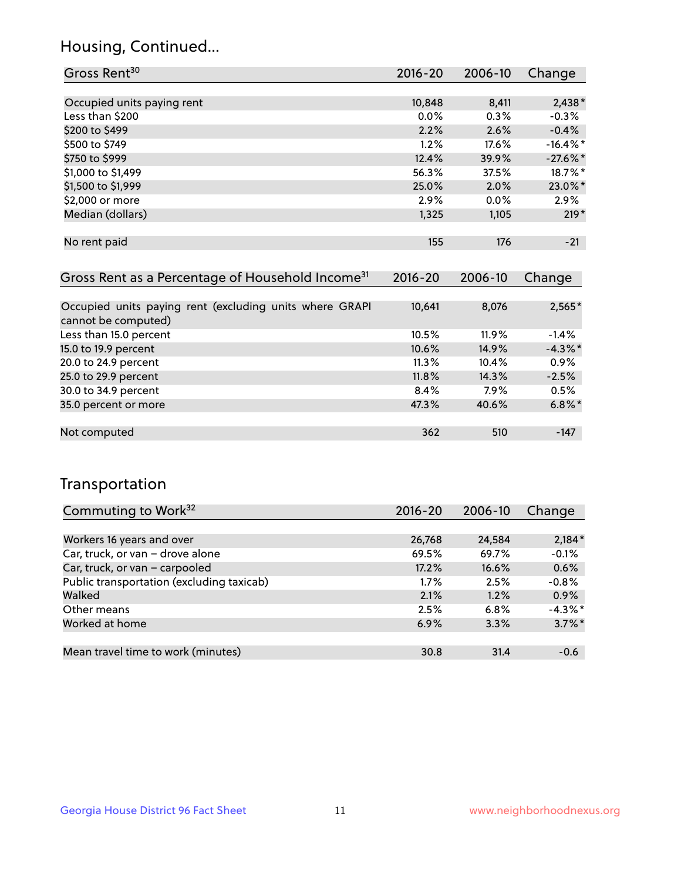## Housing, Continued...

| Gross Rent <sup>30</sup>   | 2016-20 | 2006-10 | Change      |
|----------------------------|---------|---------|-------------|
|                            |         |         |             |
| Occupied units paying rent | 10,848  | 8,411   | $2,438*$    |
| Less than \$200            | 0.0%    | 0.3%    | $-0.3%$     |
| \$200 to \$499             | 2.2%    | 2.6%    | $-0.4%$     |
| \$500 to \$749             | 1.2%    | 17.6%   | $-16.4\%$ * |
| \$750 to \$999             | 12.4%   | 39.9%   | $-27.6\%$ * |
| \$1,000 to \$1,499         | 56.3%   | 37.5%   | 18.7%*      |
| \$1,500 to \$1,999         | 25.0%   | 2.0%    | 23.0%*      |
| \$2,000 or more            | 2.9%    | $0.0\%$ | 2.9%        |
| Median (dollars)           | 1,325   | 1,105   | $219*$      |
|                            |         |         |             |
| No rent paid               | 155     | 176     | $-21$       |

| Gross Rent as a Percentage of Household Income <sup>31</sup>                   | $2016 - 20$ | 2006-10 | Change     |
|--------------------------------------------------------------------------------|-------------|---------|------------|
|                                                                                |             |         |            |
| Occupied units paying rent (excluding units where GRAPI<br>cannot be computed) | 10,641      | 8,076   | $2,565*$   |
| Less than 15.0 percent                                                         | 10.5%       | 11.9%   | $-1.4%$    |
| 15.0 to 19.9 percent                                                           | 10.6%       | 14.9%   | $-4.3\%$ * |
| 20.0 to 24.9 percent                                                           | 11.3%       | 10.4%   | $0.9\%$    |
| 25.0 to 29.9 percent                                                           | 11.8%       | 14.3%   | $-2.5%$    |
| 30.0 to 34.9 percent                                                           | 8.4%        | 7.9%    | 0.5%       |
| 35.0 percent or more                                                           | 47.3%       | 40.6%   | $6.8\%$ *  |
|                                                                                |             |         |            |
| Not computed                                                                   | 362         | 510     | $-147$     |

## Transportation

| Commuting to Work <sup>32</sup>           | $2016 - 20$ | 2006-10 | Change    |
|-------------------------------------------|-------------|---------|-----------|
|                                           |             |         |           |
| Workers 16 years and over                 | 26,768      | 24,584  | $2,184*$  |
| Car, truck, or van - drove alone          | 69.5%       | 69.7%   | $-0.1%$   |
| Car, truck, or van - carpooled            | 17.2%       | 16.6%   | 0.6%      |
| Public transportation (excluding taxicab) | $1.7\%$     | 2.5%    | $-0.8%$   |
| Walked                                    | 2.1%        | 1.2%    | 0.9%      |
| Other means                               | 2.5%        | 6.8%    | $-4.3%$ * |
| Worked at home                            | 6.9%        | 3.3%    | $3.7\%$ * |
|                                           |             |         |           |
| Mean travel time to work (minutes)        | 30.8        | 31.4    | $-0.6$    |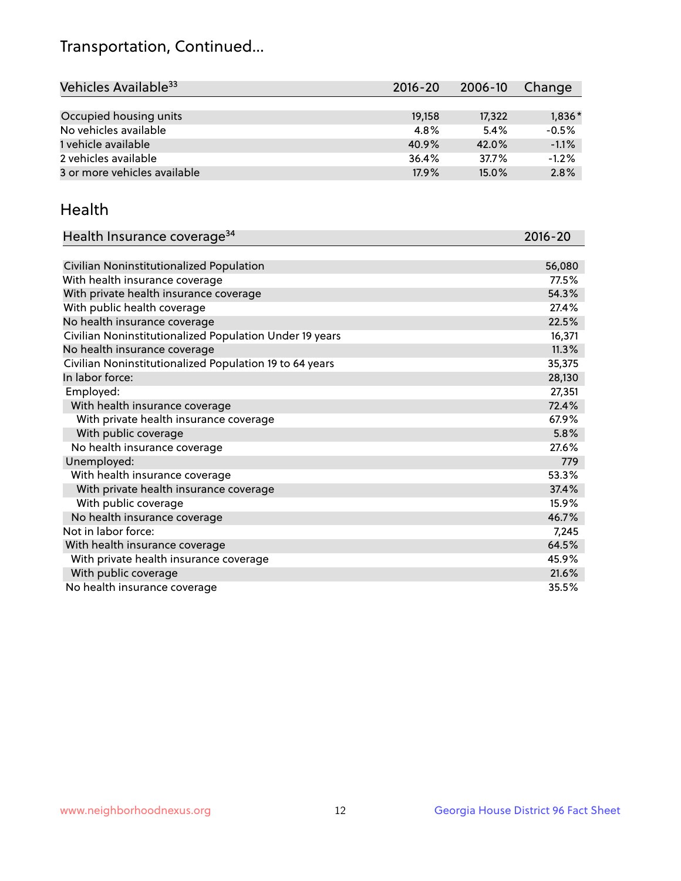## Transportation, Continued...

| Vehicles Available <sup>33</sup> | $2016 - 20$ | 2006-10 | Change  |
|----------------------------------|-------------|---------|---------|
|                                  |             |         |         |
| Occupied housing units           | 19,158      | 17,322  | 1,836*  |
| No vehicles available            | 4.8%        | 5.4%    | $-0.5%$ |
| 1 vehicle available              | 40.9%       | 42.0%   | $-1.1%$ |
| 2 vehicles available             | 36.4%       | 37.7%   | $-1.2%$ |
| 3 or more vehicles available     | 17.9%       | 15.0%   | 2.8%    |

#### Health

| Health Insurance coverage <sup>34</sup>                 | 2016-20 |
|---------------------------------------------------------|---------|
|                                                         |         |
| Civilian Noninstitutionalized Population                | 56,080  |
| With health insurance coverage                          | 77.5%   |
| With private health insurance coverage                  | 54.3%   |
| With public health coverage                             | 27.4%   |
| No health insurance coverage                            | 22.5%   |
| Civilian Noninstitutionalized Population Under 19 years | 16,371  |
| No health insurance coverage                            | 11.3%   |
| Civilian Noninstitutionalized Population 19 to 64 years | 35,375  |
| In labor force:                                         | 28,130  |
| Employed:                                               | 27,351  |
| With health insurance coverage                          | 72.4%   |
| With private health insurance coverage                  | 67.9%   |
| With public coverage                                    | 5.8%    |
| No health insurance coverage                            | 27.6%   |
| Unemployed:                                             | 779     |
| With health insurance coverage                          | 53.3%   |
| With private health insurance coverage                  | 37.4%   |
| With public coverage                                    | 15.9%   |
| No health insurance coverage                            | 46.7%   |
| Not in labor force:                                     | 7,245   |
| With health insurance coverage                          | 64.5%   |
| With private health insurance coverage                  | 45.9%   |
| With public coverage                                    | 21.6%   |
| No health insurance coverage                            | 35.5%   |